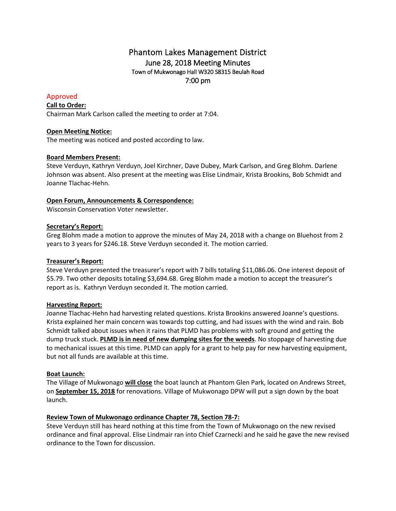# Phantom Lakes Management District June 28, 2018 Meeting Minutes Town of Mukwonago Hall W320 S8315 Beulah Road 7:00 pm

## Approved

## **Call to Order:**

Chairman Mark Carlson called the meeting to order at 7:04.

## **Open Meeting Notice:**

The meeting was noticed and posted according to law.

## **Board Members Present:**

Steve Verduyn, Kathryn Verduyn, Joel Kirchner, Dave Dubey, Mark Carlson, and Greg Blohm. Darlene Johnson was absent. Also present at the meeting was Elise Lindmair, Krista Brookins, Bob Schmidt and Joanne Tlachac-Hehn.

## **Open Forum, Announcements & Correspondence:**

Wisconsin Conservation Voter newsletter.

## **Secretary's Report:**

Greg Blohm made a motion to approve the minutes of May 24, 2018 with a change on Bluehost from 2 years to 3 years for \$246.18. Steve Verduyn seconded it. The motion carried.

## **Treasurer's Report:**

Steve Verduyn presented the treasurer's report with 7 bills totaling \$11,086.06. One interest deposit of \$5.79. Two other deposits totaling \$3,694.68. Greg Blohm made a motion to accept the treasurer's report as is. Kathryn Verduyn seconded it. The motion carried.

## **Harvesting Report:**

Joanne Tlachac-Hehn had harvesting related questions. Krista Brookins answered Joanne's questions. Krista explained her main concern was towards top cutting, and had issues with the wind and rain. Bob Schmidt talked about issues when it rains that PLMD has problems with soft ground and getting the dump truck stuck. **PLMD is in need of new dumping sites for the weeds**. No stoppage of harvesting due to mechanical issues at this time. PLMD can apply for a grant to help pay for new harvesting equipment, but not all funds are available at this time.

## **Boat Launch:**

The Village of Mukwonago **will close** the boat launch at Phantom Glen Park, located on Andrews Street, on **September 15, 2018** for renovations. Village of Mukwonago DPW will put a sign down by the boat launch.

## **Review Town of Mukwonago ordinance Chapter 78, Section 78-7:**

Steve Verduyn still has heard nothing at this time from the Town of Mukwonago on the new revised ordinance and final approval. Elise Lindmair ran into Chief Czarnecki and he said he gave the new revised ordinance to the Town for discussion.